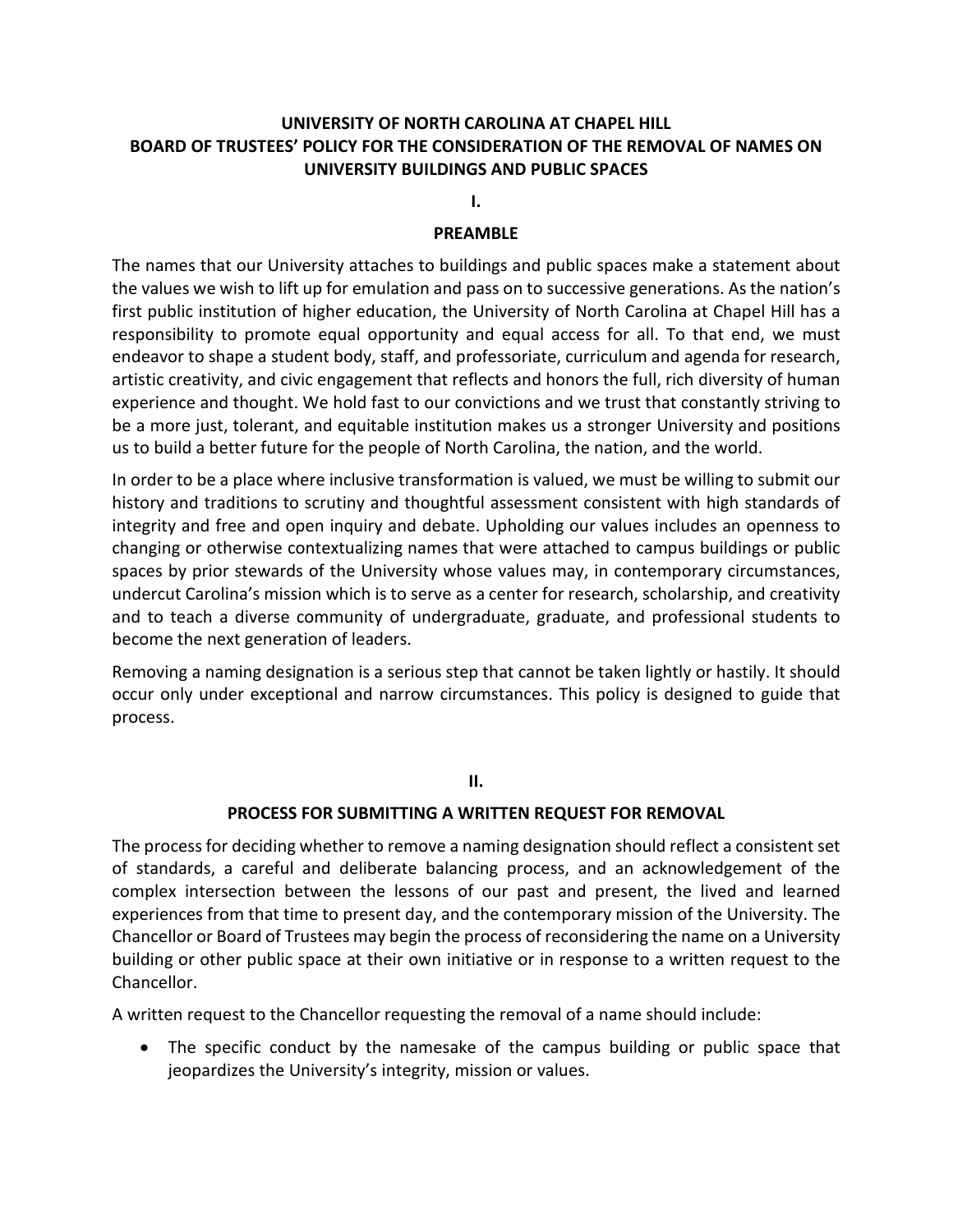# **UNIVERSITY OF NORTH CAROLINA AT CHAPEL HILL BOARD OF TRUSTEES' POLICY FOR THE CONSIDERATION OF THE REMOVAL OF NAMES ON UNIVERSITY BUILDINGS AND PUBLIC SPACES**

**I.**

### **PREAMBLE**

The names that our University attaches to buildings and public spaces make a statement about the values we wish to lift up for emulation and pass on to successive generations. As the nation's first public institution of higher education, the University of North Carolina at Chapel Hill has a responsibility to promote equal opportunity and equal access for all. To that end, we must endeavor to shape a student body, staff, and professoriate, curriculum and agenda for research, artistic creativity, and civic engagement that reflects and honors the full, rich diversity of human experience and thought. We hold fast to our convictions and we trust that constantly striving to be a more just, tolerant, and equitable institution makes us a stronger University and positions us to build a better future for the people of North Carolina, the nation, and the world.

In order to be a place where inclusive transformation is valued, we must be willing to submit our history and traditions to scrutiny and thoughtful assessment consistent with high standards of integrity and free and open inquiry and debate. Upholding our values includes an openness to changing or otherwise contextualizing names that were attached to campus buildings or public spaces by prior stewards of the University whose values may, in contemporary circumstances, undercut Carolina's mission which is to serve as a center for research, scholarship, and creativity and to teach a diverse community of undergraduate, graduate, and professional students to become the next generation of leaders.

Removing a naming designation is a serious step that cannot be taken lightly or hastily. It should occur only under exceptional and narrow circumstances. This policy is designed to guide that process.

**II.**

## **PROCESS FOR SUBMITTING A WRITTEN REQUEST FOR REMOVAL**

The process for deciding whether to remove a naming designation should reflect a consistent set of standards, a careful and deliberate balancing process, and an acknowledgement of the complex intersection between the lessons of our past and present, the lived and learned experiences from that time to present day, and the contemporary mission of the University. The Chancellor or Board of Trustees may begin the process of reconsidering the name on a University building or other public space at their own initiative or in response to a written request to the Chancellor.

A written request to the Chancellor requesting the removal of a name should include:

• The specific conduct by the namesake of the campus building or public space that jeopardizes the University's integrity, mission or values.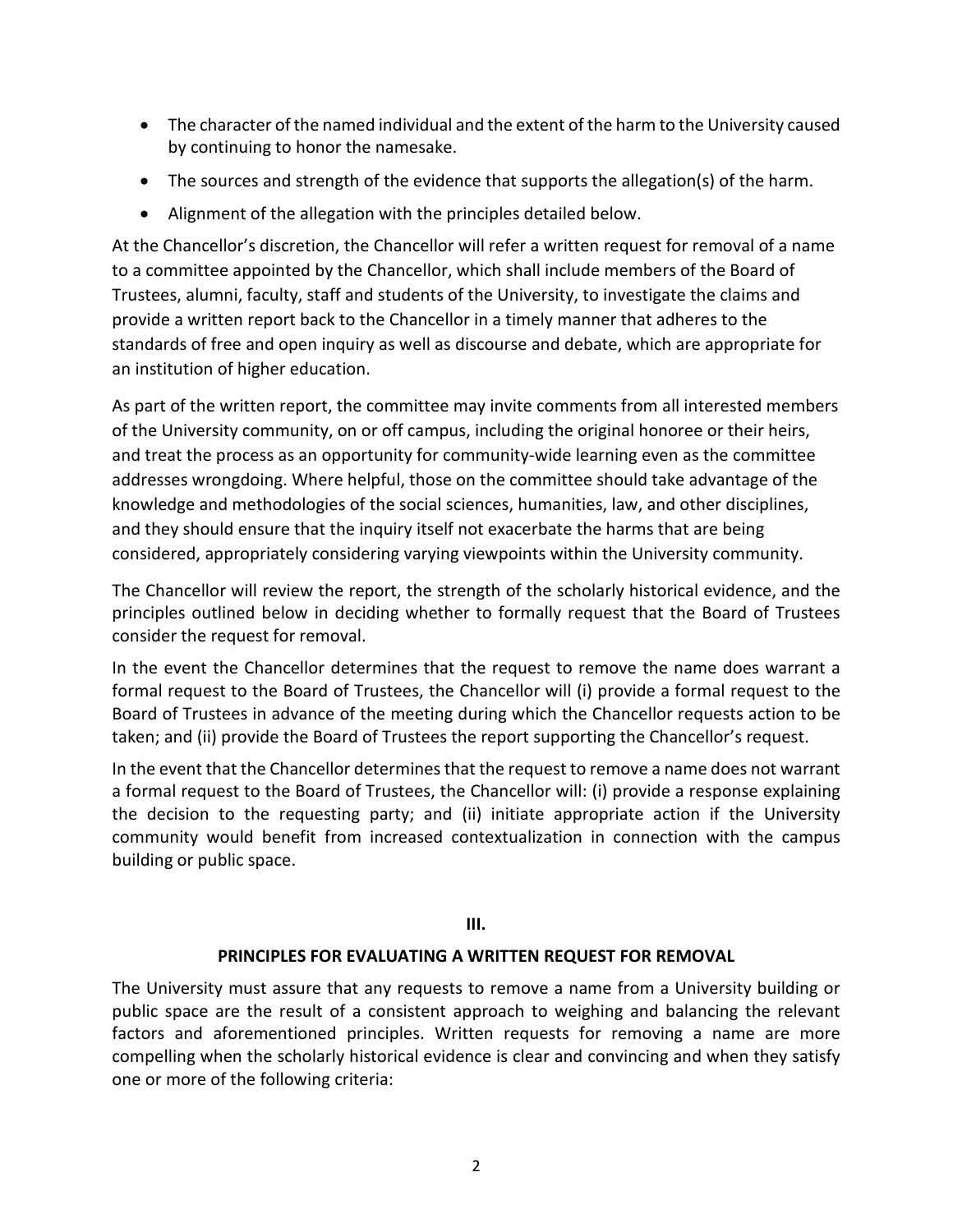- The character of the named individual and the extent of the harm to the University caused by continuing to honor the namesake.
- The sources and strength of the evidence that supports the allegation(s) of the harm.
- Alignment of the allegation with the principles detailed below.

At the Chancellor's discretion, the Chancellor will refer a written request for removal of a name to a committee appointed by the Chancellor, which shall include members of the Board of Trustees, alumni, faculty, staff and students of the University, to investigate the claims and provide a written report back to the Chancellor in a timely manner that adheres to the standards of free and open inquiry as well as discourse and debate, which are appropriate for an institution of higher education.

As part of the written report, the committee may invite comments from all interested members of the University community, on or off campus, including the original honoree or their heirs, and treat the process as an opportunity for community-wide learning even as the committee addresses wrongdoing. Where helpful, those on the committee should take advantage of the knowledge and methodologies of the social sciences, humanities, law, and other disciplines, and they should ensure that the inquiry itself not exacerbate the harms that are being considered, appropriately considering varying viewpoints within the University community.

The Chancellor will review the report, the strength of the scholarly historical evidence, and the principles outlined below in deciding whether to formally request that the Board of Trustees consider the request for removal.

In the event the Chancellor determines that the request to remove the name does warrant a formal request to the Board of Trustees, the Chancellor will (i) provide a formal request to the Board of Trustees in advance of the meeting during which the Chancellor requests action to be taken; and (ii) provide the Board of Trustees the report supporting the Chancellor's request.

In the event that the Chancellor determines that the request to remove a name does not warrant a formal request to the Board of Trustees, the Chancellor will: (i) provide a response explaining the decision to the requesting party; and (ii) initiate appropriate action if the University community would benefit from increased contextualization in connection with the campus building or public space.

## **III.**

## **PRINCIPLES FOR EVALUATING A WRITTEN REQUEST FOR REMOVAL**

The University must assure that any requests to remove a name from a University building or public space are the result of a consistent approach to weighing and balancing the relevant factors and aforementioned principles. Written requests for removing a name are more compelling when the scholarly historical evidence is clear and convincing and when they satisfy one or more of the following criteria: